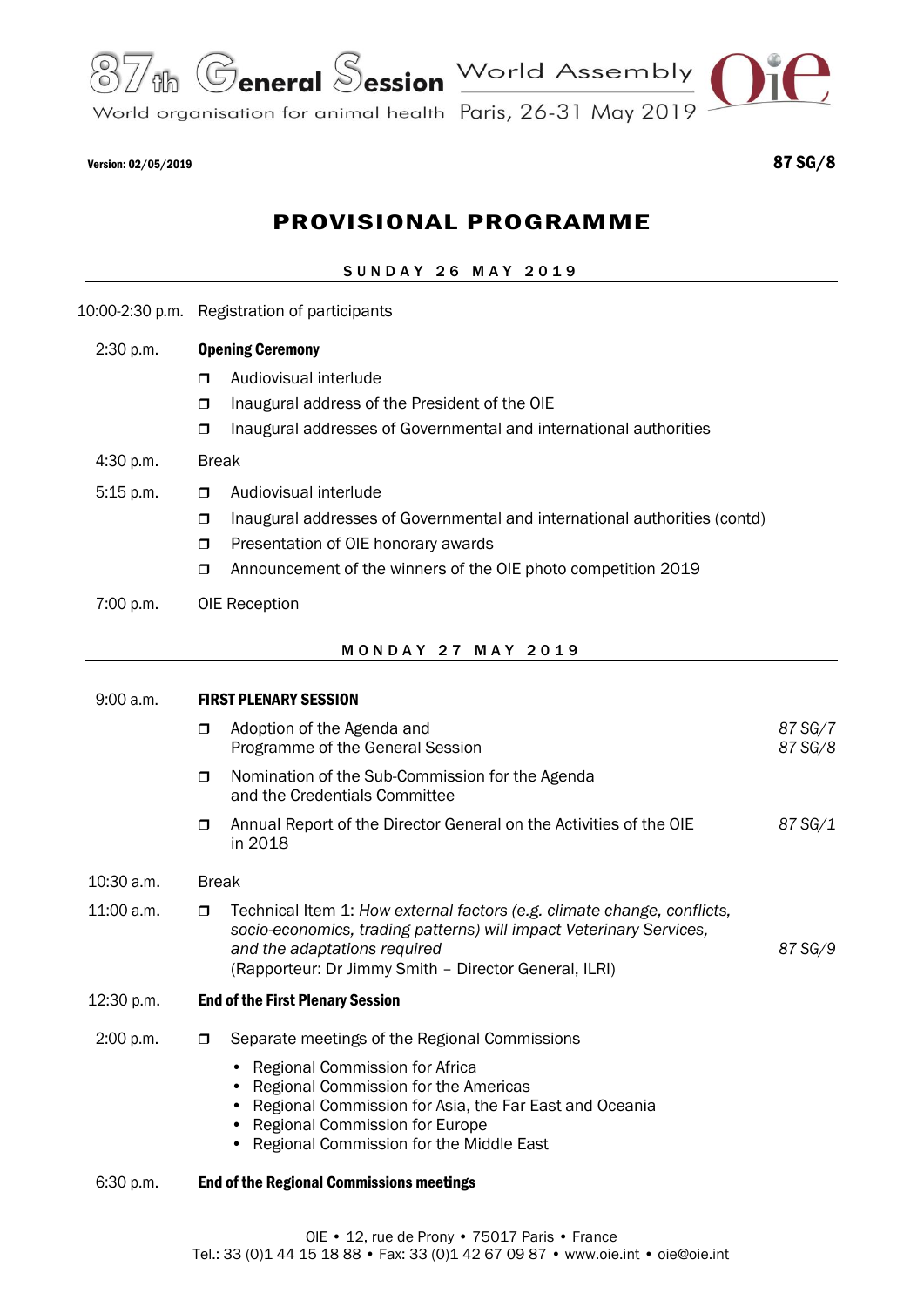

World organisation for animal health Paris, 26-31 May 2019

# PROVISIONAL PROGRAMME

## SUNDAY 26 MAY 2019

10:00-2:30 p.m. Registration of participants

## 2:30 p.m. Opening Ceremony

- **D** Audiovisual interlude
- $\Box$  Inaugural address of the President of the OIE
- Inaugural addresses of Governmental and international authorities

#### 4:30 p.m. Break

- 5:15 p.m. **D** Audiovisual interlude
	- $\Box$  Inaugural addresses of Governmental and international authorities (contd)
	- **Presentation of OIE honorary awards**
	- □ Announcement of the winners of the OIE photo competition 2019
- 7:00 p.m. OIE Reception

#### M O N D A Y 2 7 M A Y 2 0 1 9

| 9:00 a.m.    | <b>FIRST PLENARY SESSION</b> |                                                                                                                                                                                                                                         |                    |  |  |
|--------------|------------------------------|-----------------------------------------------------------------------------------------------------------------------------------------------------------------------------------------------------------------------------------------|--------------------|--|--|
|              | $\Box$                       | Adoption of the Agenda and<br>Programme of the General Session                                                                                                                                                                          | 87 SG/7<br>87 SG/8 |  |  |
|              | $\Box$                       | Nomination of the Sub-Commission for the Agenda<br>and the Credentials Committee                                                                                                                                                        |                    |  |  |
|              | $\Box$                       | Annual Report of the Director General on the Activities of the OIE<br>in 2018                                                                                                                                                           | 87 SG/1            |  |  |
| $10:30$ a.m. |                              | <b>Break</b>                                                                                                                                                                                                                            |                    |  |  |
| 11:00 a.m.   | $\Box$                       | Technical Item 1: How external factors (e.g. climate change, conflicts,<br>socio-economics, trading patterns) will impact Veterinary Services,<br>and the adaptations required<br>(Rapporteur: Dr Jimmy Smith - Director General, ILRI) | 87 SG/9            |  |  |
| 12:30 p.m.   |                              | <b>End of the First Plenary Session</b>                                                                                                                                                                                                 |                    |  |  |
| 2:00 p.m.    | $\Box$                       | Separate meetings of the Regional Commissions                                                                                                                                                                                           |                    |  |  |
|              |                              | Regional Commission for Africa<br>Regional Commission for the Americas<br>Regional Commission for Asia, the Far East and Oceania<br><b>Regional Commission for Europe</b><br>Regional Commission for the Middle East                    |                    |  |  |
| 6:30 p.m.    |                              | <b>End of the Regional Commissions meetings</b>                                                                                                                                                                                         |                    |  |  |
|              |                              |                                                                                                                                                                                                                                         |                    |  |  |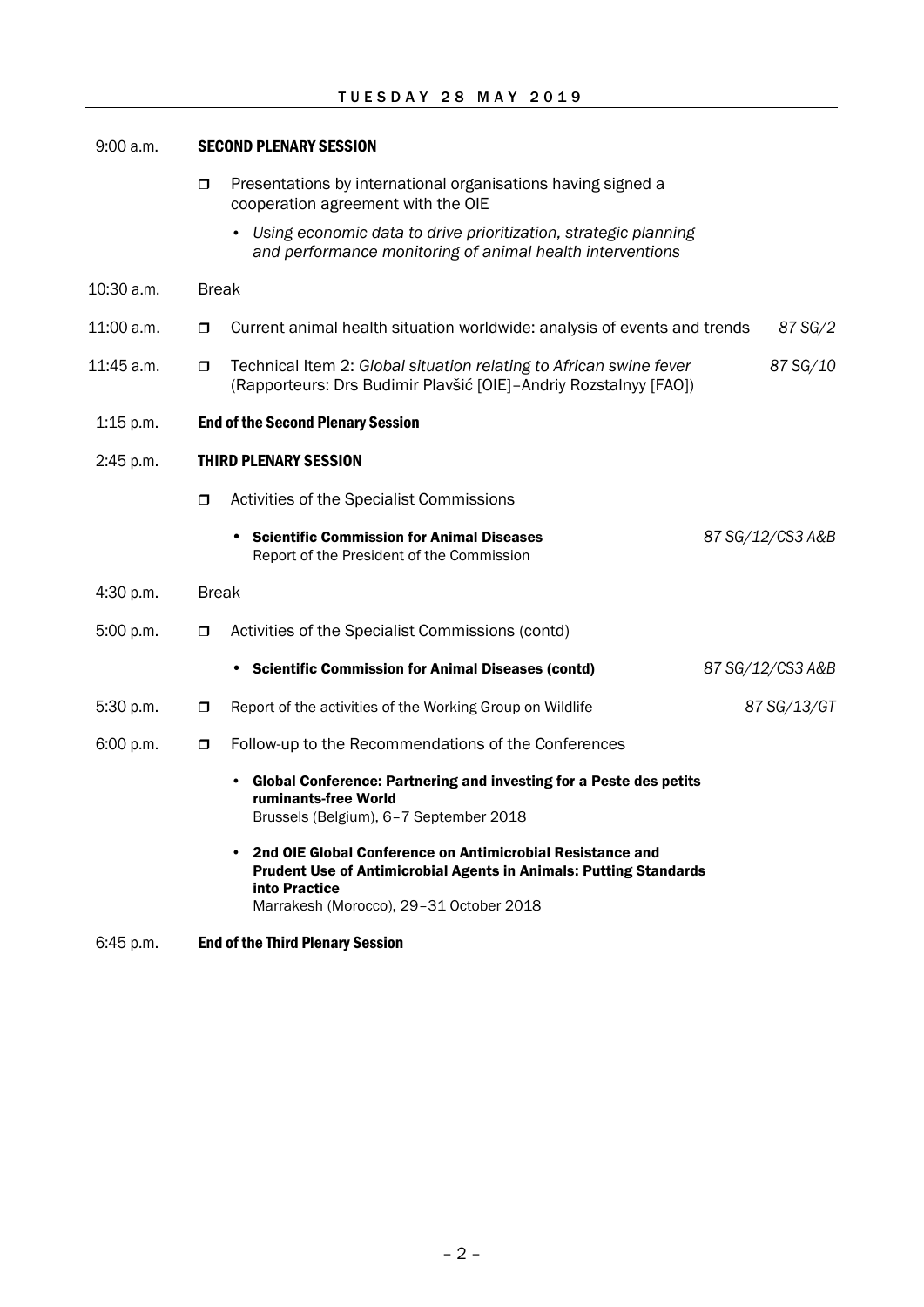| 9:00 a.m.   |                              | <b>SECOND PLENARY SESSION</b>                                                                                                                                                                                  |                  |  |  |  |
|-------------|------------------------------|----------------------------------------------------------------------------------------------------------------------------------------------------------------------------------------------------------------|------------------|--|--|--|
|             | $\Box$                       | Presentations by international organisations having signed a<br>cooperation agreement with the OIE                                                                                                             |                  |  |  |  |
|             |                              | Using economic data to drive prioritization, strategic planning<br>and performance monitoring of animal health interventions                                                                                   |                  |  |  |  |
| 10:30 a.m.  | <b>Break</b>                 |                                                                                                                                                                                                                |                  |  |  |  |
| 11:00 a.m.  | $\Box$                       | Current animal health situation worldwide: analysis of events and trends                                                                                                                                       | 87 SG/2          |  |  |  |
| 11:45 a.m.  | σ.                           | Technical Item 2: Global situation relating to African swine fever<br>(Rapporteurs: Drs Budimir Plavšić [OIE]-Andriy Rozstalnyy [FAO])                                                                         | 87 SG/10         |  |  |  |
| $1:15$ p.m. |                              | <b>End of the Second Plenary Session</b>                                                                                                                                                                       |                  |  |  |  |
| 2:45 p.m.   | <b>THIRD PLENARY SESSION</b> |                                                                                                                                                                                                                |                  |  |  |  |
|             | $\Box$                       | Activities of the Specialist Commissions                                                                                                                                                                       |                  |  |  |  |
|             |                              | <b>Scientific Commission for Animal Diseases</b><br>$\bullet$<br>Report of the President of the Commission                                                                                                     | 87 SG/12/CS3 A&B |  |  |  |
| 4:30 p.m.   |                              | <b>Break</b>                                                                                                                                                                                                   |                  |  |  |  |
| 5:00 p.m.   | $\Box$                       | Activities of the Specialist Commissions (contd)                                                                                                                                                               |                  |  |  |  |
|             |                              | • Scientific Commission for Animal Diseases (contd)                                                                                                                                                            | 87 SG/12/CS3 A&B |  |  |  |
| 5:30 p.m.   | σ.                           | Report of the activities of the Working Group on Wildlife                                                                                                                                                      | 87 SG/13/GT      |  |  |  |
| 6:00 p.m.   | $\Box$                       | Follow-up to the Recommendations of the Conferences                                                                                                                                                            |                  |  |  |  |
|             |                              | Global Conference: Partnering and investing for a Peste des petits<br>ruminants-free World<br>Brussels (Belgium), 6-7 September 2018                                                                           |                  |  |  |  |
|             |                              | 2nd OIE Global Conference on Antimicrobial Resistance and<br>$\bullet$<br><b>Prudent Use of Antimicrobial Agents in Animals: Putting Standards</b><br>into Practice<br>Marrakesh (Morocco), 29-31 October 2018 |                  |  |  |  |

# 6:45 p.m. End of the Third Plenary Session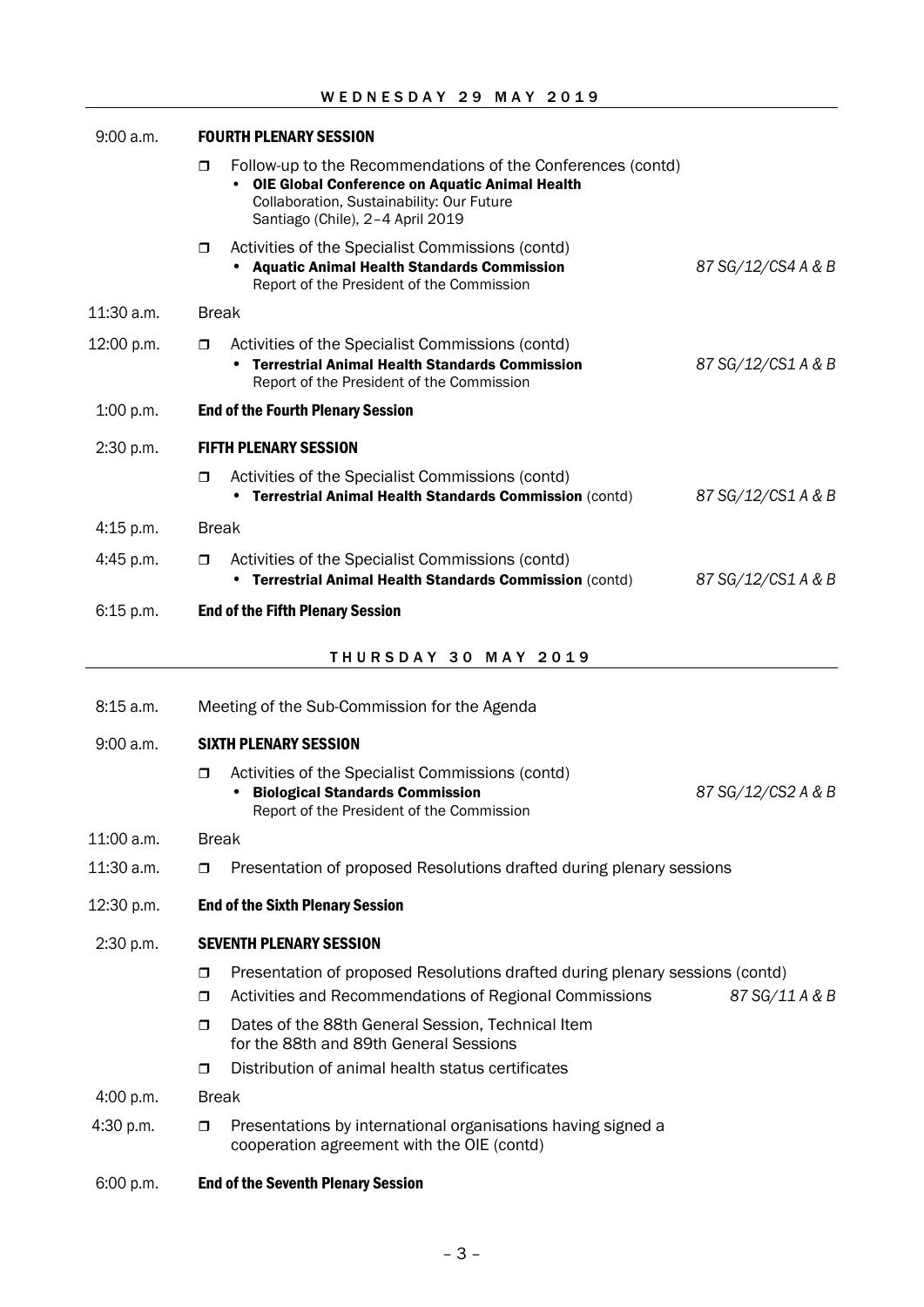| 9:00 a.m.   | <b>FOURTH PLENARY SESSION</b> |                                                                                                                                                                                                       |                    |  |
|-------------|-------------------------------|-------------------------------------------------------------------------------------------------------------------------------------------------------------------------------------------------------|--------------------|--|
|             | $\Box$                        | Follow-up to the Recommendations of the Conferences (contd)<br><b>OIE Global Conference on Aquatic Animal Health</b><br>Collaboration, Sustainability: Our Future<br>Santiago (Chile), 2-4 April 2019 |                    |  |
|             | $\Box$                        | Activities of the Specialist Commissions (contd)<br><b>Aquatic Animal Health Standards Commission</b><br>Report of the President of the Commission                                                    | 87 SG/12/CS4 A & B |  |
| 11:30 a.m.  | <b>Break</b>                  |                                                                                                                                                                                                       |                    |  |
| 12:00 p.m.  | $\Box$                        | Activities of the Specialist Commissions (contd)<br>• Terrestrial Animal Health Standards Commission<br>Report of the President of the Commission                                                     | 87 SG/12/CS1 A & B |  |
| 1:00 p.m.   |                               | <b>End of the Fourth Plenary Session</b>                                                                                                                                                              |                    |  |
| 2:30 p.m.   |                               | <b>FIFTH PLENARY SESSION</b>                                                                                                                                                                          |                    |  |
|             | $\Box$                        | Activities of the Specialist Commissions (contd)<br>Terrestrial Animal Health Standards Commission (contd)                                                                                            | 87 SG/12/CS1 A & B |  |
| $4:15$ p.m. | <b>Break</b>                  |                                                                                                                                                                                                       |                    |  |
| $4:45$ p.m. | $\Box$                        | Activities of the Specialist Commissions (contd)<br>• Terrestrial Animal Health Standards Commission (contd)                                                                                          | 87 SG/12/CS1 A & B |  |
| 6:15 p.m.   |                               | <b>End of the Fifth Plenary Session</b>                                                                                                                                                               |                    |  |
|             |                               | <b>THURSDAY 30 MAY 2019</b>                                                                                                                                                                           |                    |  |
| 8:15 a.m.   |                               | Meeting of the Sub-Commission for the Agenda                                                                                                                                                          |                    |  |
| 9:00 a.m.   |                               | <b>SIXTH PLENARY SESSION</b>                                                                                                                                                                          |                    |  |
|             | $\Box$                        | Activities of the Specialist Commissions (contd)<br><b>Biological Standards Commission</b><br>٠<br>Report of the President of the Commission                                                          | 87 SG/12/CS2 A & B |  |
| 11:00 a.m.  |                               | <b>Break</b>                                                                                                                                                                                          |                    |  |
| 11:30 a.m.  | $\Box$                        | Presentation of proposed Resolutions drafted during plenary sessions                                                                                                                                  |                    |  |
| 12:30 p.m.  |                               | <b>End of the Sixth Plenary Session</b>                                                                                                                                                               |                    |  |
| 2:30 p.m.   |                               | <b>SEVENTH PLENARY SESSION</b>                                                                                                                                                                        |                    |  |
|             | $\Box$                        | Presentation of proposed Resolutions drafted during plenary sessions (contd)                                                                                                                          |                    |  |
|             | $\Box$                        | Activities and Recommendations of Regional Commissions                                                                                                                                                | 87 SG/11 A & B     |  |
|             | $\Box$                        | Dates of the 88th General Session, Technical Item<br>for the 88th and 89th General Sessions                                                                                                           |                    |  |
|             | $\Box$                        | Distribution of animal health status certificates                                                                                                                                                     |                    |  |
| 4:00 p.m.   |                               | <b>Break</b>                                                                                                                                                                                          |                    |  |
| 4:30 p.m.   | $\Box$                        | Presentations by international organisations having signed a<br>cooperation agreement with the OIE (contd)                                                                                            |                    |  |
| 6:00 p.m.   |                               | <b>End of the Seventh Plenary Session</b>                                                                                                                                                             |                    |  |